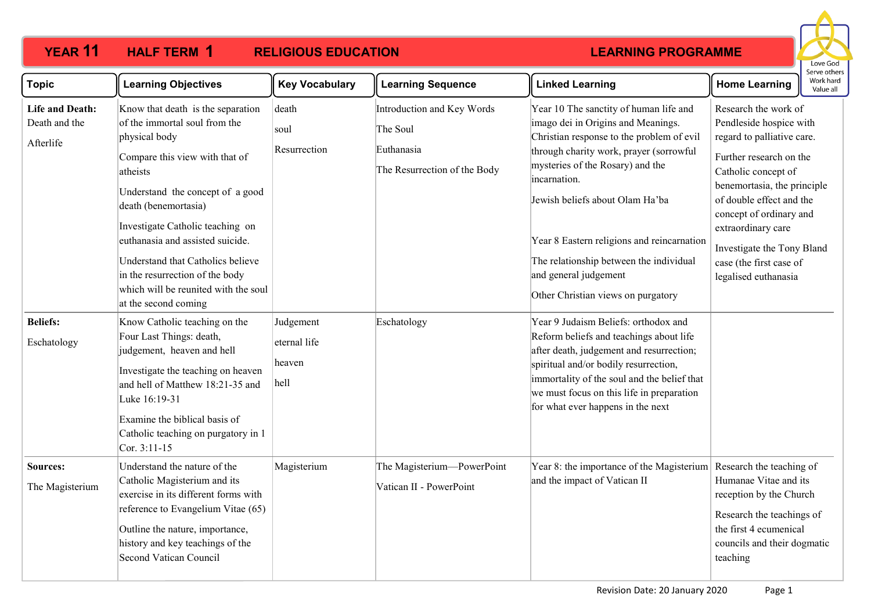#### **YEAR 11 HALF TERM RELIGIOUS EDUCATION HALF TERM 1**



| <b>Topic</b>                                         | <b>Learning Objectives</b>                                                                                                                                                                                                                                                                                                                                                                                    | <b>Key Vocabulary</b>                       | <b>Learning Sequence</b>                                                             | <b>Linked Learning</b>                                                                                                                                                                                                                                                                                                                                                                                              | <b>Home Learning</b>                                                                                                                                                                                                                                                                                                         | Work hard<br>Value all |
|------------------------------------------------------|---------------------------------------------------------------------------------------------------------------------------------------------------------------------------------------------------------------------------------------------------------------------------------------------------------------------------------------------------------------------------------------------------------------|---------------------------------------------|--------------------------------------------------------------------------------------|---------------------------------------------------------------------------------------------------------------------------------------------------------------------------------------------------------------------------------------------------------------------------------------------------------------------------------------------------------------------------------------------------------------------|------------------------------------------------------------------------------------------------------------------------------------------------------------------------------------------------------------------------------------------------------------------------------------------------------------------------------|------------------------|
| <b>Life and Death:</b><br>Death and the<br>Afterlife | Know that death is the separation<br>of the immortal soul from the<br>physical body<br>Compare this view with that of<br>atheists<br>Understand the concept of a good<br>death (benemortasia)<br>Investigate Catholic teaching on<br>euthanasia and assisted suicide.<br>Understand that Catholics believe<br>in the resurrection of the body<br>which will be reunited with the soul<br>at the second coming | death<br>soul<br>Resurrection               | Introduction and Key Words<br>The Soul<br>Euthanasia<br>The Resurrection of the Body | Year 10 The sanctity of human life and<br>imago dei in Origins and Meanings.<br>Christian response to the problem of evil<br>through charity work, prayer (sorrowful<br>mysteries of the Rosary) and the<br>incarnation.<br>Jewish beliefs about Olam Ha'ba<br>Year 8 Eastern religions and reincarnation<br>The relationship between the individual<br>and general judgement<br>Other Christian views on purgatory | Research the work of<br>Pendleside hospice with<br>regard to palliative care.<br>Further research on the<br>Catholic concept of<br>benemortasia, the principle<br>of double effect and the<br>concept of ordinary and<br>extraordinary care<br>Investigate the Tony Bland<br>case (the first case of<br>legalised euthanasia |                        |
| <b>Beliefs:</b><br>Eschatology                       | Know Catholic teaching on the<br>Four Last Things: death,<br>judgement, heaven and hell<br>Investigate the teaching on heaven<br>and hell of Matthew 18:21-35 and<br>Luke 16:19-31<br>Examine the biblical basis of<br>Catholic teaching on purgatory in 1<br>Cor. 3:11-15                                                                                                                                    | Judgement<br>eternal life<br>heaven<br>hell | Eschatology                                                                          | Year 9 Judaism Beliefs: orthodox and<br>Reform beliefs and teachings about life<br>after death, judgement and resurrection;<br>spiritual and/or bodily resurrection,<br>immortality of the soul and the belief that<br>we must focus on this life in preparation<br>for what ever happens in the next                                                                                                               |                                                                                                                                                                                                                                                                                                                              |                        |
| Sources:<br>The Magisterium                          | Understand the nature of the<br>Catholic Magisterium and its<br>exercise in its different forms with<br>reference to Evangelium Vitae (65)<br>Outline the nature, importance,<br>history and key teachings of the<br><b>Second Vatican Council</b>                                                                                                                                                            | Magisterium                                 | The Magisterium—PowerPoint<br>Vatican II - PowerPoint                                | Year 8: the importance of the Magisterium Research the teaching of<br>and the impact of Vatican II                                                                                                                                                                                                                                                                                                                  | Humanae Vitae and its<br>reception by the Church<br>Research the teachings of<br>the first 4 ecumenical<br>councils and their dogmatic<br>teaching                                                                                                                                                                           |                        |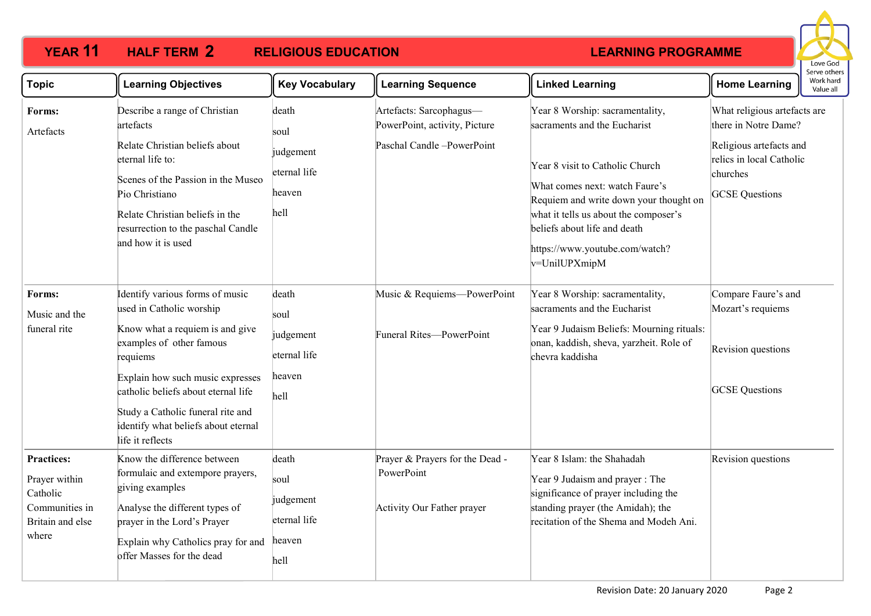#### **YEAR 11 HALF TERM RELIGIOUS EDUCATION HALF TERM 2**



| <b>Topic</b>                                                                                  | <b>Learning Objectives</b>                                                                                                                                                                                                                                                                                        | <b>Key Vocabulary</b>                                        | <b>Learning Sequence</b>                                                               | <b>Linked Learning</b>                                                                                                                                                                                                                                                                                     | <b>Home Learning</b>                                                                                                                             | Work hard<br>Value all |
|-----------------------------------------------------------------------------------------------|-------------------------------------------------------------------------------------------------------------------------------------------------------------------------------------------------------------------------------------------------------------------------------------------------------------------|--------------------------------------------------------------|----------------------------------------------------------------------------------------|------------------------------------------------------------------------------------------------------------------------------------------------------------------------------------------------------------------------------------------------------------------------------------------------------------|--------------------------------------------------------------------------------------------------------------------------------------------------|------------------------|
| Forms:<br>Artefacts                                                                           | Describe a range of Christian<br>artefacts<br>Relate Christian beliefs about<br>eternal life to:<br>Scenes of the Passion in the Museo<br>Pio Christiano<br>Relate Christian beliefs in the<br>resurrection to the paschal Candle<br>and how it is used                                                           | death<br>soul<br>judgement<br>eternal life<br>heaven<br>hell | Artefacts: Sarcophagus-<br>PowerPoint, activity, Picture<br>Paschal Candle -PowerPoint | Year 8 Worship: sacramentality,<br>sacraments and the Eucharist<br>Year 8 visit to Catholic Church<br>What comes next: watch Faure's<br>Requiem and write down your thought on<br>what it tells us about the composer's<br>beliefs about life and death<br>https://www.youtube.com/watch?<br>v=UnilUPXmipM | What religious artefacts are<br>there in Notre Dame?<br>Religious artefacts and<br>relics in local Catholic<br>churches<br><b>GCSE</b> Questions |                        |
| Forms:<br>Music and the<br>funeral rite                                                       | Identify various forms of music<br>used in Catholic worship<br>Know what a requiem is and give<br>examples of other famous<br>requiems<br>Explain how such music expresses<br>catholic beliefs about eternal life<br>Study a Catholic funeral rite and<br>identify what beliefs about eternal<br>life it reflects | death<br>soul<br>judgement<br>eternal life<br>heaven<br>hell | Music & Requiems-PowerPoint<br>Funeral Rites-PowerPoint                                | Year 8 Worship: sacramentality,<br>sacraments and the Eucharist<br>Year 9 Judaism Beliefs: Mourning rituals:<br>onan, kaddish, sheva, yarzheit. Role of<br>chevra kaddisha                                                                                                                                 | Compare Faure's and<br>Mozart's requiems<br>Revision questions<br><b>GCSE</b> Questions                                                          |                        |
| <b>Practices:</b><br>Prayer within<br>Catholic<br>Communities in<br>Britain and else<br>where | Know the difference between<br>formulaic and extempore prayers,<br>giving examples<br>Analyse the different types of<br>prayer in the Lord's Prayer<br>Explain why Catholics pray for and<br>offer Masses for the dead                                                                                            | death<br>soul<br>judgement<br>eternal life<br>heaven<br>hell | Prayer & Prayers for the Dead -<br>PowerPoint<br>Activity Our Father prayer            | Year 8 Islam: the Shahadah<br>Year 9 Judaism and prayer: The<br>significance of prayer including the<br>standing prayer (the Amidah); the<br>recitation of the Shema and Modeh Ani.                                                                                                                        | Revision questions                                                                                                                               |                        |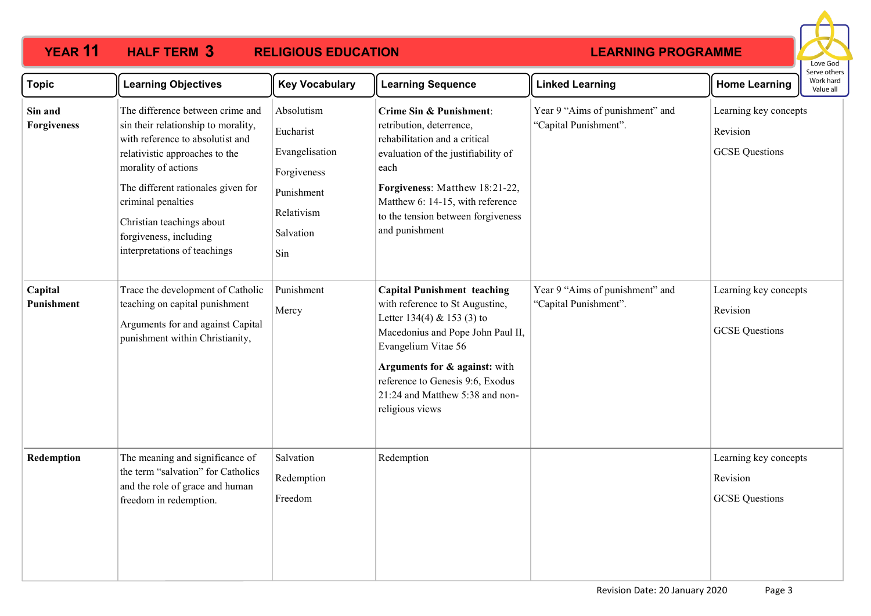# **YEAR 11 HALF TERM 3 RELIGIOUS EDUCATION**



| <b>Topic</b>           | <b>Learning Objectives</b>                                                                                                                                                                                                                                                                                              | <b>Key Vocabulary</b>                                                                                    | <b>Learning Sequence</b>                                                                                                                                                                                                                                                                   | <b>Linked Learning</b>                                   | <b>Home Learning</b>                                       | Work hard<br>Value all |
|------------------------|-------------------------------------------------------------------------------------------------------------------------------------------------------------------------------------------------------------------------------------------------------------------------------------------------------------------------|----------------------------------------------------------------------------------------------------------|--------------------------------------------------------------------------------------------------------------------------------------------------------------------------------------------------------------------------------------------------------------------------------------------|----------------------------------------------------------|------------------------------------------------------------|------------------------|
| Sin and<br>Forgiveness | The difference between crime and<br>sin their relationship to morality,<br>with reference to absolutist and<br>relativistic approaches to the<br>morality of actions<br>The different rationales given for<br>criminal penalties<br>Christian teachings about<br>forgiveness, including<br>interpretations of teachings | Absolutism<br>Eucharist<br>Evangelisation<br>Forgiveness<br>Punishment<br>Relativism<br>Salvation<br>Sin | Crime Sin & Punishment:<br>retribution, deterrence,<br>rehabilitation and a critical<br>evaluation of the justifiability of<br>each<br>Forgiveness: Matthew 18:21-22,<br>Matthew 6: 14-15, with reference<br>to the tension between forgiveness<br>and punishment                          | Year 9 "Aims of punishment" and<br>"Capital Punishment". | Learning key concepts<br>Revision<br><b>GCSE</b> Questions |                        |
| Capital<br>Punishment  | Trace the development of Catholic<br>teaching on capital punishment<br>Arguments for and against Capital<br>punishment within Christianity,                                                                                                                                                                             | Punishment<br>Mercy                                                                                      | <b>Capital Punishment teaching</b><br>with reference to St Augustine,<br>Letter 134(4) & 153 (3) to<br>Macedonius and Pope John Paul II,<br>Evangelium Vitae 56<br>Arguments for & against: with<br>reference to Genesis 9:6, Exodus<br>21:24 and Matthew 5:38 and non-<br>religious views | Year 9 "Aims of punishment" and<br>"Capital Punishment". | Learning key concepts<br>Revision<br><b>GCSE</b> Questions |                        |
| Redemption             | The meaning and significance of<br>the term "salvation" for Catholics<br>and the role of grace and human<br>freedom in redemption.                                                                                                                                                                                      | Salvation<br>Redemption<br>Freedom                                                                       | Redemption                                                                                                                                                                                                                                                                                 |                                                          | Learning key concepts<br>Revision<br><b>GCSE</b> Questions |                        |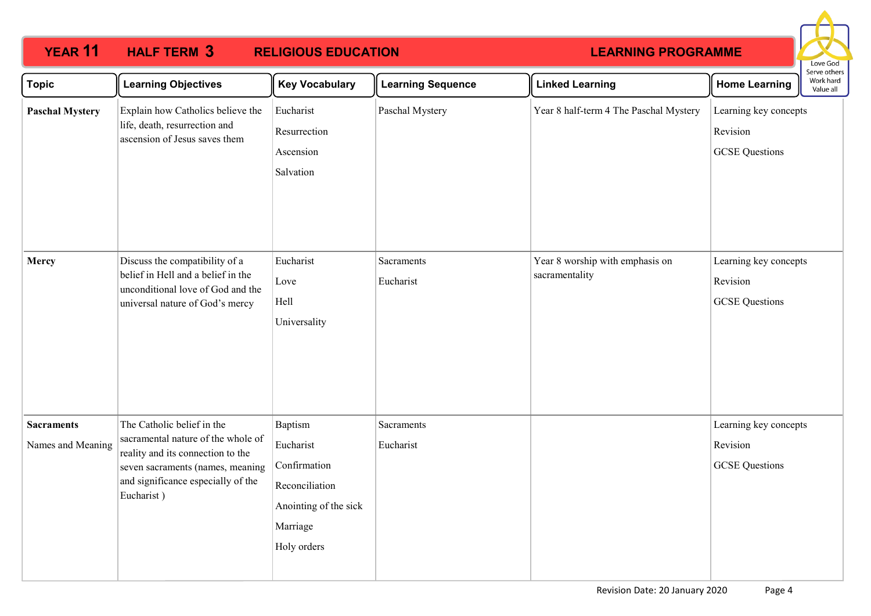# **YEAR 11 HALF TERM 3 RELIGIOUS EDUCATION**



| <b>Topic</b>           | <b>Learning Objectives</b>                                                                                                                                                                    | <b>Key Vocabulary</b>                                                              | <b>Learning Sequence</b> | <b>Linked Learning</b>                            | <b>Home Learning</b>                                       | בו אב טנווכו ב<br>Work hard<br>Value all |
|------------------------|-----------------------------------------------------------------------------------------------------------------------------------------------------------------------------------------------|------------------------------------------------------------------------------------|--------------------------|---------------------------------------------------|------------------------------------------------------------|------------------------------------------|
| <b>Paschal Mystery</b> | Explain how Catholics believe the<br>life, death, resurrection and<br>ascension of Jesus saves them                                                                                           | Eucharist<br>Resurrection<br>Ascension<br>Salvation                                | Paschal Mystery          | Year 8 half-term 4 The Paschal Mystery            | Learning key concepts<br>Revision<br><b>GCSE</b> Questions |                                          |
| Mercy                  | Discuss the compatibility of a<br>belief in Hell and a belief in the<br>unconditional love of God and the<br>universal nature of God's mercy                                                  | Eucharist<br>Love<br>Hell<br>Universality                                          | Sacraments<br>Eucharist  | Year 8 worship with emphasis on<br>sacramentality | Learning key concepts<br>Revision<br><b>GCSE</b> Questions |                                          |
| <b>Sacraments</b>      | The Catholic belief in the<br>sacramental nature of the whole of<br>reality and its connection to the<br>seven sacraments (names, meaning<br>and significance especially of the<br>Eucharist) | Baptism<br>Eucharist                                                               | Sacraments<br>Eucharist  |                                                   | Learning key concepts<br>Revision                          |                                          |
| Names and Meaning      |                                                                                                                                                                                               | Confirmation<br>Reconciliation<br>Anointing of the sick<br>Marriage<br>Holy orders |                          |                                                   | <b>GCSE</b> Questions                                      |                                          |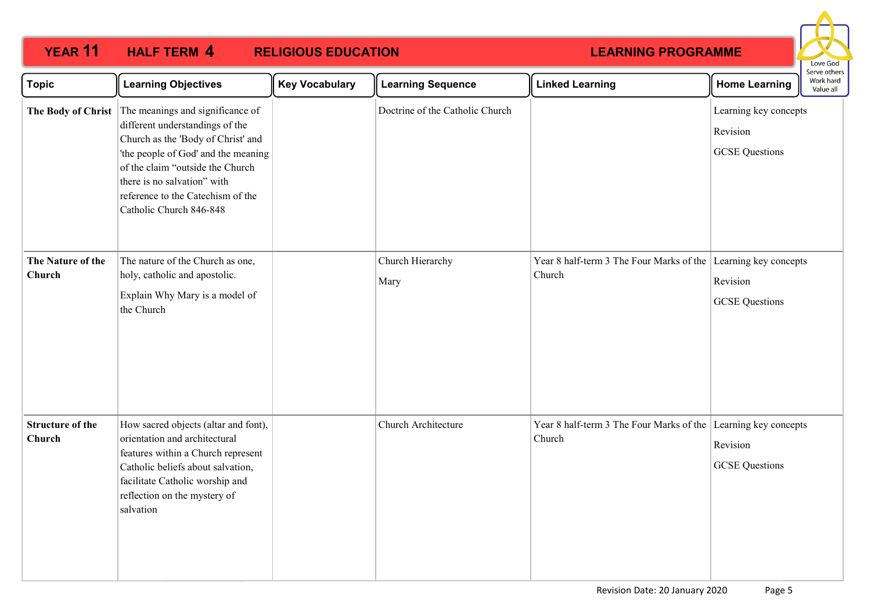# **YEAR 11 HALF TERM 4 RELIGIOUS EDUCATION**



| Topic                             | <b>Learning Objectives</b>                                                                                                                                                                                                                                                          | <b>Key Vocabulary</b> | <b>Learning Sequence</b>        | <b>Linked Learning</b>                                                   | <b>Home Learning</b>                                       | Serve others<br>Work hard<br>Value all |
|-----------------------------------|-------------------------------------------------------------------------------------------------------------------------------------------------------------------------------------------------------------------------------------------------------------------------------------|-----------------------|---------------------------------|--------------------------------------------------------------------------|------------------------------------------------------------|----------------------------------------|
| The Body of Christ                | The meanings and significance of<br>different understandings of the<br>Church as the 'Body of Christ' and<br>'the people of God' and the meaning<br>of the claim "outside the Church<br>there is no salvation" with<br>reference to the Catechism of the<br>Catholic Church 846-848 |                       | Doctrine of the Catholic Church |                                                                          | Learning key concepts<br>Revision<br><b>GCSE</b> Questions |                                        |
| The Nature of the<br>Church       | The nature of the Church as one,<br>holy, catholic and apostolic.<br>Explain Why Mary is a model of<br>the Church                                                                                                                                                                   |                       | Church Hierarchy<br>Mary        | Year 8 half-term 3 The Four Marks of the Learning key concepts<br>Church | Revision<br><b>GCSE</b> Questions                          |                                        |
| <b>Structure of the</b><br>Church | How sacred objects (altar and font),<br>orientation and architectural<br>features within a Church represent<br>Catholic beliefs about salvation,<br>facilitate Catholic worship and<br>reflection on the mystery of<br>salvation                                                    |                       | Church Architecture             | Year 8 half-term 3 The Four Marks of the Learning key concepts<br>Church | Revision<br><b>GCSE</b> Questions                          |                                        |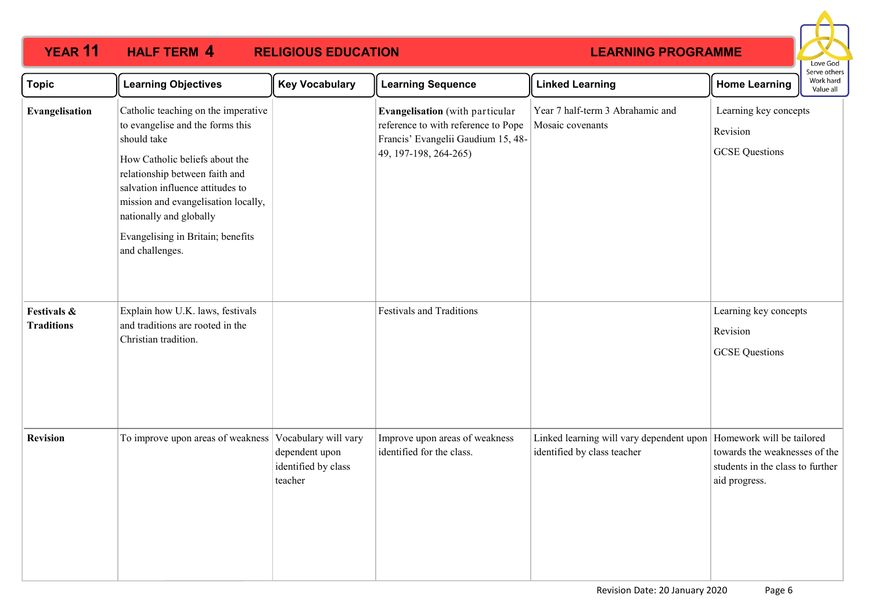# **YEAR 11 HALF TERM 4 RELIGIOUS EDUCATION**



| <b>Topic</b>                     | <b>Learning Objectives</b>                                                                                                                                                                                                                                                                                               | <b>Key Vocabulary</b>                            | <b>Learning Sequence</b>                                                                                                              | <b>Linked Learning</b>                                                  | <b>Home Learning</b>                                                                                            | Work hard<br>Value all |
|----------------------------------|--------------------------------------------------------------------------------------------------------------------------------------------------------------------------------------------------------------------------------------------------------------------------------------------------------------------------|--------------------------------------------------|---------------------------------------------------------------------------------------------------------------------------------------|-------------------------------------------------------------------------|-----------------------------------------------------------------------------------------------------------------|------------------------|
| Evangelisation                   | Catholic teaching on the imperative<br>to evangelise and the forms this<br>should take<br>How Catholic beliefs about the<br>relationship between faith and<br>salvation influence attitudes to<br>mission and evangelisation locally,<br>nationally and globally<br>Evangelising in Britain; benefits<br>and challenges. |                                                  | Evangelisation (with particular<br>reference to with reference to Pope<br>Francis' Evangelii Gaudium 15, 48-<br>49, 197-198, 264-265) | Year 7 half-term 3 Abrahamic and<br>Mosaic covenants                    | Learning key concepts<br>Revision<br><b>GCSE</b> Questions                                                      |                        |
| Festivals &<br><b>Traditions</b> | Explain how U.K. laws, festivals<br>and traditions are rooted in the<br>Christian tradition.                                                                                                                                                                                                                             |                                                  | <b>Festivals and Traditions</b>                                                                                                       |                                                                         | Learning key concepts<br>Revision<br><b>GCSE</b> Questions                                                      |                        |
| <b>Revision</b>                  | To improve upon areas of weakness Vocabulary will vary                                                                                                                                                                                                                                                                   | dependent upon<br>identified by class<br>teacher | Improve upon areas of weakness<br>identified for the class.                                                                           | Linked learning will vary dependent upon<br>identified by class teacher | Homework will be tailored<br>towards the weaknesses of the<br>students in the class to further<br>aid progress. |                        |